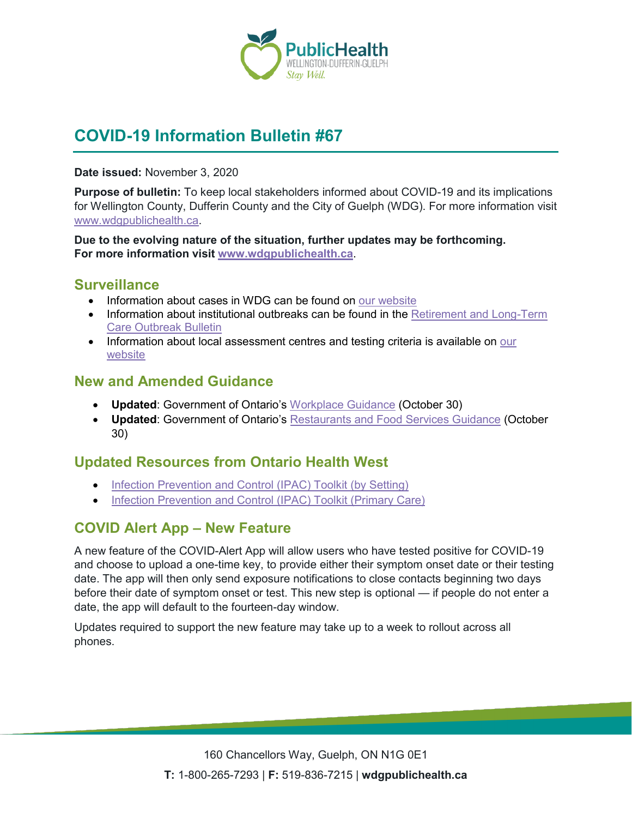

# **COVID-19 Information Bulletin #67**

**Date issued:** November 3, 2020

**Purpose of bulletin:** To keep local stakeholders informed about COVID-19 and its implications for Wellington County, Dufferin County and the City of Guelph (WDG). For more information visit [www.wdgpublichealth.ca.](http://www.wdgpublichealth.ca/)

**Due to the evolving nature of the situation, further updates may be forthcoming. For more information visit [www.wdgpublichealth.ca](http://www.wdgpublichealth.ca/)**.

#### **Surveillance**

- Information about cases in WDG can be found on [our website](https://wdgpublichealth.ca/your-health/covid-19-information-public/status-cases-wdg)
- Information about institutional outbreaks can be found in the Retirement and Long-Term [Care Outbreak Bulletin](https://wdgpublichealth.ca/node/1542)
- Information about local assessment centres and testing criteria is available on our [website](https://www.wdgpublichealth.ca/your-health/covid-19-information-public/assessment-centres-wdg)

### **New and Amended Guidance**

- **Updated**: Government of Ontario's [Workplace Guidance](https://www.ontario.ca/page/develop-your-covid-19-workplace-safety-plan) (October 30)
- **Updated**: Government of Ontario's [Restaurants and Food Services Guidance](https://www.ontario.ca/page/restaurant-and-food-services-health-and-safety-during-covid-19) (October 30)

### **Updated Resources from Ontario Health West**

- [Infection Prevention and Control \(IPAC\) Toolkit \(by Setting\)](https://ohwestcovid19.ca/wp-content/uploads/2020/10/20200914-REF_20200914_OHWest_IPACToolkit_bySettings.pdf)
- [Infection Prevention and Control \(IPAC\) Toolkit \(Primary Care\)](https://ohwestcovid19.ca/wp-content/uploads/2020/10/20200914-REF_20200914_OHWest_IPACToolkit_PrimaryCare.pdf)

## **COVID Alert App – New Feature**

A new feature of the COVID-Alert App will allow users who have tested positive for COVID-19 and choose to upload a one-time key, to provide either their symptom onset date or their testing date. The app will then only send exposure notifications to close contacts beginning two days before their date of symptom onset or test. This new step is optional — if people do not enter a date, the app will default to the fourteen-day window.

Updates required to support the new feature may take up to a week to rollout across all phones.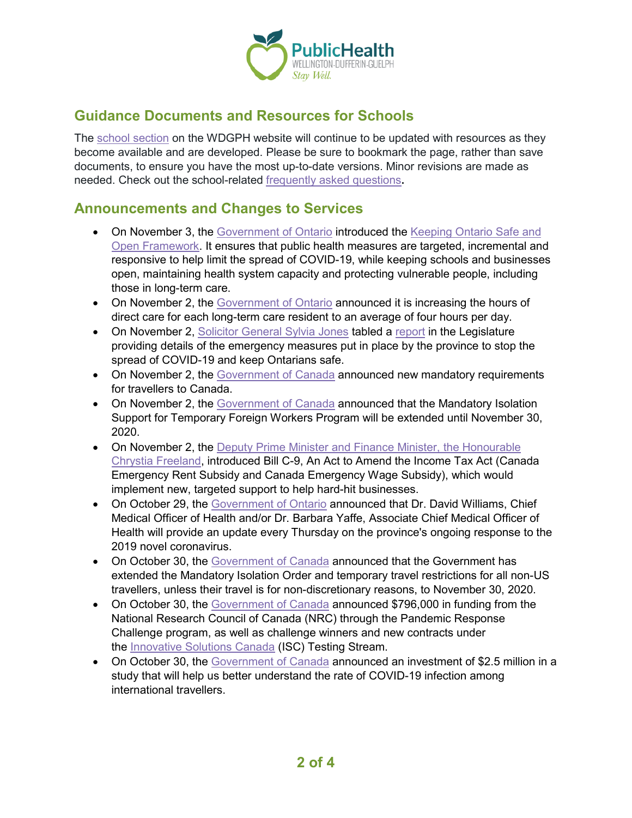

## **Guidance Documents and Resources for Schools**

The [school section](https://www.wdgpublichealth.ca/your-health/covid-19-information-schools-parents-and-teachers/schools-and-post-secondary) on the WDGPH website will continue to be updated with resources as they become available and are developed. Please be sure to bookmark the page, rather than save documents, to ensure you have the most up-to-date versions. Minor revisions are made as needed. Check out the school-related [frequently asked questions](https://www.wdgpublichealth.ca/your-health/covid-19-information-schools-parents-and-teachers/schools-frequently-asked-questions)**.**

#### **Announcements and Changes to Services**

- On November 3, the [Government of Ontario](https://news.ontario.ca/en/release/59051/ontario-releases-covid-19-response-framework-to-help-keep-the-province-safe-and-open) introduced the Keeping Ontario Safe and [Open Framework.](https://www.ontario.ca/page/covid-19-response-framework-keeping-ontario-safe-and-open) It ensures that public health measures are targeted, incremental and responsive to help limit the spread of COVID-19, while keeping schools and businesses open, maintaining health system capacity and protecting vulnerable people, including those in long-term care.
- On November 2, the [Government of Ontario](https://news.ontario.ca/en/release/59030/province-increasing-direct-care-for-long-term-care-residents-to-four-hours-per-day) announced it is increasing the hours of direct care for each long-term care resident to an average of four hours per day.
- On November 2, [Solicitor General Sylvia Jones](https://news.ontario.ca/en/release/59034/ontario-releases-report-on-covid-19-emergency-measures) tabled a [report](https://www.ontario.ca/document/report-ontarios-provincial-emergency-march-17-2020-july-24-2020) in the Legislature providing details of the emergency measures put in place by the province to stop the spread of COVID-19 and keep Ontarians safe.
- On November 2, the [Government of Canada](https://www.canada.ca/en/public-health/news/2020/11/government-of-canada-announces-new-mandatory-requirements-for-travellers-to-canada.html) announced new mandatory requirements for travellers to Canada.
- On November 2, the [Government of Canada](https://www.canada.ca/en/agriculture-agri-food/news/2020/11/government-of-canada-extends-support-program-for-farmers-and-processors-to-protect-temporary-foreign-workers-health-and-safety-during-pandemic.html) announced that the Mandatory Isolation Support for Temporary Foreign Workers Program will be extended until November 30, 2020.
- On November 2, the [Deputy Prime Minister and Finance Minister, the Honourable](https://www.canada.ca/en/department-finance/news/2020/11/government-introduces-legislation-for-new-targeted-support-to-help-businesses-through-pandemic.html) [Chrystia Freeland,](https://www.canada.ca/en/department-finance/news/2020/11/government-introduces-legislation-for-new-targeted-support-to-help-businesses-through-pandemic.html) introduced Bill C-9, An Act to Amend the Income Tax Act (Canada Emergency Rent Subsidy and Canada Emergency Wage Subsidy), which would implement new, targeted support to help hard-hit businesses.
- On October 29, the [Government of Ontario](https://news.ontario.ca/en/advisory/58976/updated-chief-medical-officer-of-health-and-associate-chief-medical-officer-of-health-to-hold-bi-wee) announced that Dr. David Williams, Chief Medical Officer of Health and/or Dr. Barbara Yaffe, Associate Chief Medical Officer of Health will provide an update every Thursday on the province's ongoing response to the 2019 novel coronavirus.
- On October 30, the [Government of Canada](https://www.canada.ca/en/public-safety-canada/news/2020/10/government-extends-international-travel-restrictions.html) announced that the Government has extended the Mandatory Isolation Order and temporary travel restrictions for all non-US travellers, unless their travel is for non-discretionary reasons, to November 30, 2020.
- On October 30, the [Government of Canada](https://www.canada.ca/en/innovation-science-economic-development/news/2020/10/government-of-canada-announces-funding-for-research-and-development-to-address-covid-19-gaps-and-challenges.html) announced \$796,000 in funding from the National Research Council of Canada (NRC) through the Pandemic Response Challenge program, as well as challenge winners and new contracts under the **[Innovative Solutions Canada](https://www.ic.gc.ca/eic/site/101.nsf/eng/home)** (ISC) Testing Stream.
- On October 30, the [Government of Canada](https://www.canada.ca/en/institutes-health-research/news/2020/10/government-of-canada-invests-in-covid-19-border-study-led-by-mcmaster-healthlabs.html) announced an investment of \$2.5 million in a study that will help us better understand the rate of COVID-19 infection among international travellers.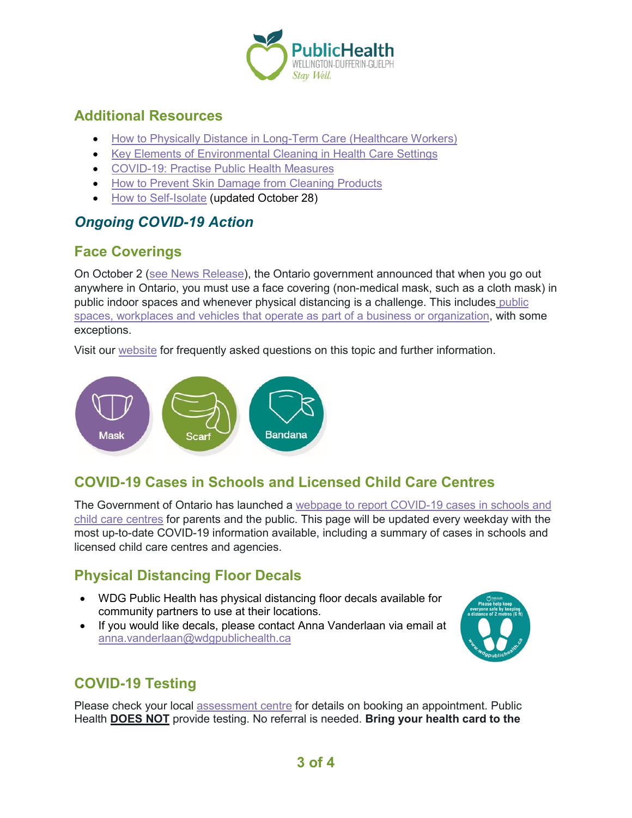

## **Additional Resources**

- [How to Physically Distance in Long-Term Care \(Healthcare Workers\)](https://www.publichealthontario.ca/-/media/documents/ncov/ltcrh/2020/10/covid-19-poster-physically-distance-long-term-care.pdf)
- [Key Elements of Environmental Cleaning in Health Care Settings](https://www.publichealthontario.ca/-/media/documents/ncov/ipac/2020/10/factsheet-covid-19-environmental-cleaning-hcs.pdf)
- [COVID-19: Practise Public Health Measures](https://www.canada.ca/en/public-health/services/video/covid-19-public-health-measures.html)
- [How to Prevent Skin Damage from Cleaning Products](https://www.publichealthontario.ca/-/media/documents/ncov/factsheet/2020/10/factsheet-covid-19-preventing-skin-damage.pdf)
- [How to Self-Isolate](https://www.publichealthontario.ca/-/media/documents/ncov/factsheet-covid-19-how-to-self-isolate.pdf) (updated October 28)

## *Ongoing COVID-19 Action*

# **Face Coverings**

On October 2 [\(see News Release\)](https://news.ontario.ca/en/release/58645/ontario-implementing-additional-public-health-and-testing-measures-to-keep-people-safe), the Ontario government announced that when you go out anywhere in Ontario, you must use a face covering (non-medical mask, such as a cloth mask) in public indoor spaces and whenever physical distancing is a challenge. This includes [public](https://www.ontario.ca/page/face-coverings-and-face-masks)  [spaces, workplaces and vehicles that operate as part of a business or organization,](https://www.ontario.ca/page/face-coverings-and-face-masks) with some exceptions.

Visit our [website](https://www.wdgpublichealth.ca/your-health/covid-19-information-public/face-coverings) for frequently asked questions on this topic and further information.



# **COVID-19 Cases in Schools and Licensed Child Care Centres**

The Government of Ontario has launched a [webpage to report COVID-19 cases in schools and](https://www.ontario.ca/page/covid-19-cases-schools-and-child-care-centres)  [child care centres](https://www.ontario.ca/page/covid-19-cases-schools-and-child-care-centres) for parents and the public. This page will be updated every weekday with the most up-to-date COVID-19 information available, including a summary of cases in schools and licensed child care centres and agencies.

# **Physical Distancing Floor Decals**

- WDG Public Health has physical distancing floor decals available for community partners to use at their locations.
- If you would like decals, please contact Anna Vanderlaan via email at [anna.vanderlaan@wdgpublichealth.ca](mailto:anna.vanderlaan@wdgpublichealth.ca)



# **COVID-19 Testing**

Please check your local [assessment centre](https://wdgpublichealth.ca/your-health/covid-19-information-public/assessment-centres-wdg) for details on booking an appointment. Public Health **DOES NOT** provide testing. No referral is needed. **Bring your health card to the**